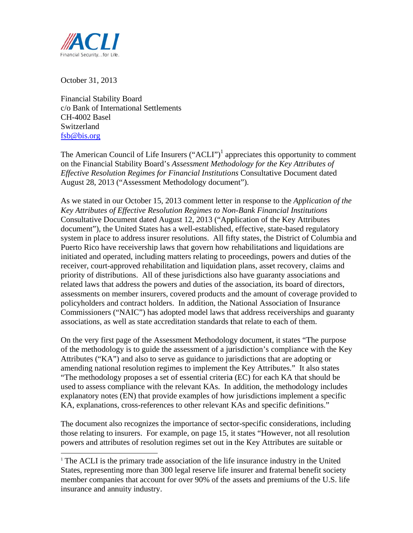

October 31, 2013

**Financial Stability Board** c/o Bank of International Settlements CH-4002 Basel Switzerland fsb@bis.org

The American Council of Life Insurers ("ACLI")<sup>1</sup> appreciates this opportunity to comment on the Financial Stability Board's Assessment Methodology for the Key Attributes of *Effective Resolution Regimes for Financial Institutions Consultative Document dated* August 28, 2013 ("Assessment Methodology document").

As we stated in our October 15, 2013 comment letter in response to the *Application of the* Key Attributes of Effective Resolution Regimes to Non-Bank Financial Institutions Consultative Document dated August 12, 2013 ("Application of the Key Attributes" document"), the United States has a well-established, effective, state-based regulatory system in place to address insurer resolutions. All fifty states, the District of Columbia and Puerto Rico have receivership laws that govern how rehabilitations and liquidations are initiated and operated, including matters relating to proceedings, powers and duties of the receiver, court-approved rehabilitation and liquidation plans, asset recovery, claims and priority of distributions. All of these jurisdictions also have guaranty associations and related laws that address the powers and duties of the association, its board of directors, assessments on member insurers, covered products and the amount of coverage provided to policyholders and contract holders. In addition, the National Association of Insurance Commissioners ("NAIC") has adopted model laws that address receiverships and guaranty associations, as well as state accreditation standards that relate to each of them.

On the very first page of the Assessment Methodology document, it states "The purpose" of the methodology is to guide the assessment of a jurisdiction's compliance with the Key Attributes ("KA") and also to serve as guidance to jurisdictions that are adopting or amending national resolution regimes to implement the Key Attributes." It also states "The methodology proposes a set of essential criteria (EC) for each KA that should be used to assess compliance with the relevant KAs. In addition, the methodology includes explanatory notes (EN) that provide examples of how jurisdictions implement a specific KA, explanations, cross-references to other relevant KAs and specific definitions."

The document also recognizes the importance of sector-specific considerations, including those relating to insurers. For example, on page 15, it states "However, not all resolution powers and attributes of resolution regimes set out in the Key Attributes are suitable or

<sup>&</sup>lt;sup>1</sup> The ACLI is the primary trade association of the life insurance industry in the United States, representing more than 300 legal reserve life insurer and fraternal benefit society member companies that account for over 90% of the assets and premiums of the U.S. life insurance and annuity industry.